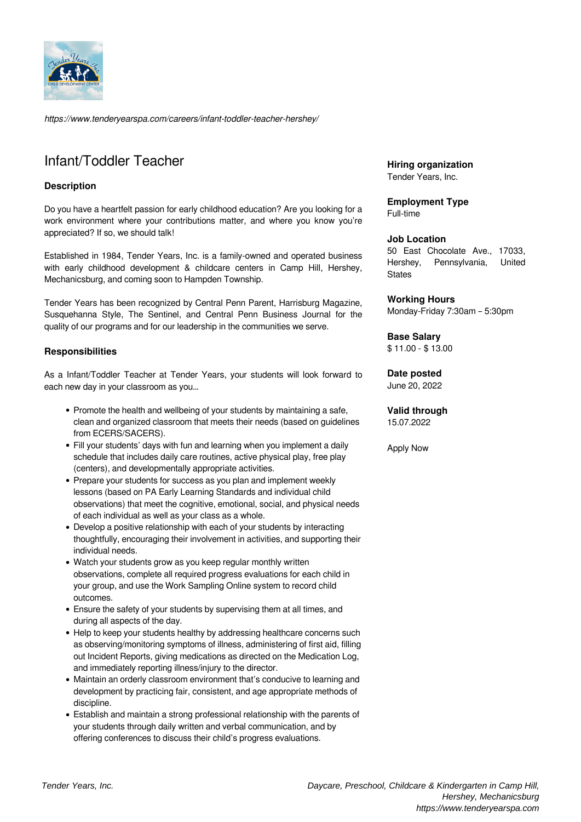

*https://www.tenderyearspa.com/careers/infant-toddler-teacher-hershey/*

# Infant/Toddler Teacher

# **Description**

Do you have a heartfelt passion for early childhood education? Are you looking for a work environment where your contributions matter, and where you know you're appreciated? If so, we should talk!

Established in 1984, Tender Years, Inc. is a family-owned and operated business with early childhood development & childcare centers in Camp Hill, Hershey, Mechanicsburg, and coming soon to Hampden Township.

Tender Years has been recognized by Central Penn Parent, Harrisburg Magazine, Susquehanna Style, The Sentinel, and Central Penn Business Journal for the quality of our programs and for our leadership in the communities we serve.

#### **Responsibilities**

As a Infant/Toddler Teacher at Tender Years, your students will look forward to each new day in your classroom as you…

- Promote the health and wellbeing of your students by maintaining a safe, clean and organized classroom that meets their needs (based on guidelines from ECERS/SACERS).
- Fill your students' days with fun and learning when you implement a daily schedule that includes daily care routines, active physical play, free play (centers), and developmentally appropriate activities.
- Prepare your students for success as you plan and implement weekly lessons (based on PA Early Learning Standards and individual child observations) that meet the cognitive, emotional, social, and physical needs of each individual as well as your class as a whole.
- Develop a positive relationship with each of your students by interacting thoughtfully, encouraging their involvement in activities, and supporting their individual needs.
- Watch your students grow as you keep regular monthly written observations, complete all required progress evaluations for each child in your group, and use the Work Sampling Online system to record child outcomes.
- Ensure the safety of your students by supervising them at all times, and during all aspects of the day.
- Help to keep your students healthy by addressing healthcare concerns such as observing/monitoring symptoms of illness, administering of first aid, filling out Incident Reports, giving medications as directed on the Medication Log, and immediately reporting illness/injury to the director.
- Maintain an orderly classroom environment that's conducive to learning and development by practicing fair, consistent, and age appropriate methods of discipline.
- Establish and maintain a strong professional relationship with the parents of your students through daily written and verbal communication, and by offering conferences to discuss their child's progress evaluations.

**Hiring organization** Tender Years, Inc.

**Employment Type** Full-time

#### **Job Location**

50 East Chocolate Ave., 17033, Hershey, Pennsylvania, United **States** 

#### **Working Hours**

Monday-Friday 7:30am – 5:30pm

#### **Base Salary**

\$ 11.00 - \$ 13.00

# **Date posted**

June 20, 2022

# **Valid through**

15.07.2022

Apply Now